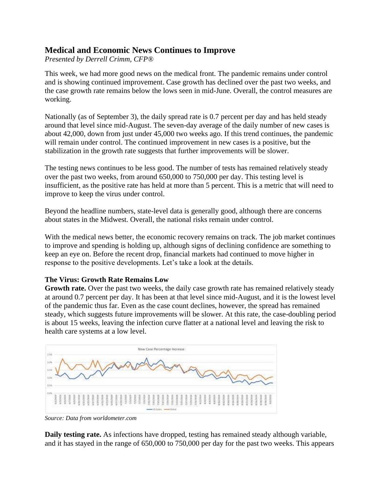# **Medical and Economic News Continues to Improve**

*Presented by Derrell Crimm, CFP®*

This week, we had more good news on the medical front. The pandemic remains under control and is showing continued improvement. Case growth has declined over the past two weeks, and the case growth rate remains below the lows seen in mid-June. Overall, the control measures are working.

Nationally (as of September 3), the daily spread rate is 0.7 percent per day and has held steady around that level since mid-August. The seven-day average of the daily number of new cases is about 42,000, down from just under 45,000 two weeks ago. If this trend continues, the pandemic will remain under control. The continued improvement in new cases is a positive, but the stabilization in the growth rate suggests that further improvements will be slower.

The testing news continues to be less good. The number of tests has remained relatively steady over the past two weeks, from around 650,000 to 750,000 per day. This testing level is insufficient, as the positive rate has held at more than 5 percent. This is a metric that will need to improve to keep the virus under control.

Beyond the headline numbers, state-level data is generally good, although there are concerns about states in the Midwest. Overall, the national risks remain under control.

With the medical news better, the economic recovery remains on track. The job market continues to improve and spending is holding up, although signs of declining confidence are something to keep an eye on. Before the recent drop, financial markets had continued to move higher in response to the positive developments. Let's take a look at the details.

### **The Virus: Growth Rate Remains Low**

**Growth rate.** Over the past two weeks, the daily case growth rate has remained relatively steady at around 0.7 percent per day. It has been at that level since mid-August, and it is the lowest level of the pandemic thus far. Even as the case count declines, however, the spread has remained steady, which suggests future improvements will be slower. At this rate, the case-doubling period is about 15 weeks, leaving the infection curve flatter at a national level and leaving the risk to health care systems at a low level.



*Source: Data from [worldometer.com](https://www.worldometers.info/coronavirus/)*

**Daily testing rate.** As infections have dropped, testing has remained steady although variable, and it has stayed in the range of 650,000 to 750,000 per day for the past two weeks. This appears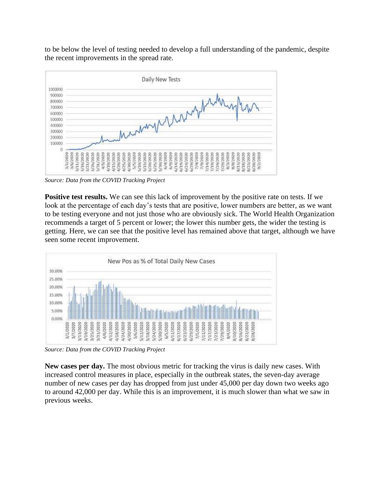to be below the level of testing needed to develop a full understanding of the pandemic, despite the recent improvements in the spread rate.



*Source: Data from the [COVID Tracking Project](https://covidtracking.com/)*

**Positive test results.** We can see this lack of improvement by the positive rate on tests. If we look at the percentage of each day's tests that are positive, lower numbers are better, as we want to be testing everyone and not just those who are obviously sick. The World Health Organization recommends a target of 5 percent or lower; the lower this number gets, the wider the testing is getting. Here, we can see that the positive level has remained above that target, although we have seen some recent improvement.



*Source: Data from the [COVID Tracking Project](https://covidtracking.com/)*

**New cases per day.** The most obvious metric for tracking the virus is daily new cases. With increased control measures in place, especially in the outbreak states, the seven-day average number of new cases per day has dropped from just under 45,000 per day down two weeks ago to around 42,000 per day. While this is an improvement, it is much slower than what we saw in previous weeks.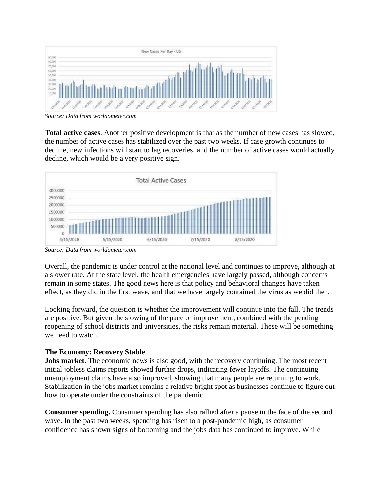

*Source: Data from [worldometer.com](https://www.worldometers.info/coronavirus/)*

**Total active cases.** Another positive development is that as the number of new cases has slowed, the number of active cases has stabilized over the past two weeks. If case growth continues to decline, new infections will start to lag recoveries, and the number of active cases would actually decline, which would be a very positive sign.



*Source: Data from [worldometer.com](https://www.worldometers.info/coronavirus/)*

Overall, the pandemic is under control at the national level and continues to improve, although at a slower rate. At the state level, the health emergencies have largely passed, although concerns remain in some states. The good news here is that policy and behavioral changes have taken effect, as they did in the first wave, and that we have largely contained the virus as we did then.

Looking forward, the question is whether the improvement will continue into the fall. The trends are positive. But given the slowing of the pace of improvement, combined with the pending reopening of school districts and universities, the risks remain material. These will be something we need to watch.

## **The Economy: Recovery Stable**

**Jobs market.** The economic news is also good, with the recovery continuing. The most recent initial jobless claims reports showed further drops, indicating fewer layoffs. The continuing unemployment claims have also improved, showing that many people are returning to work. Stabilization in the jobs market remains a relative bright spot as businesses continue to figure out how to operate under the constraints of the pandemic.

**Consumer spending.** Consumer spending has also rallied after a pause in the face of the second wave. In the past two weeks, spending has risen to a post-pandemic high, as consumer confidence has shown signs of bottoming and the jobs data has continued to improve. While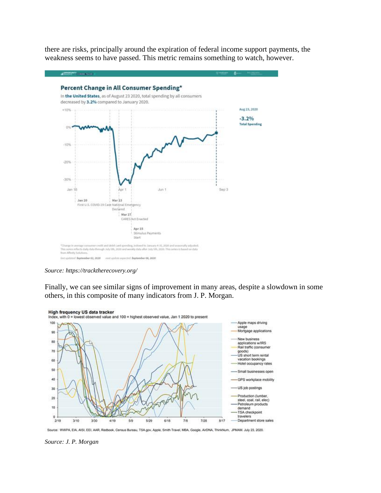there are risks, principally around the expiration of federal income support payments, the weakness seems to have passed. This metric remains something to watch, however.



*Source: <https://tracktherecovery.org/>*

Finally, we can see similar signs of improvement in many areas, despite a slowdown in some others, in this composite of many indicators from J. P. Morgan.



Source: WWPA, EIA, AISI, EEI, AAR, Redbook, Census Bureau, TSA gov, Apple, Smith Travel, MBA, Google, AirDNA, ThinkNum, JPMAM. July 23, 2020.

*Source: [J. P. Morgan](https://privatebank.jpmorgan.com/content/dam/jpm-wm-aem/global/pb/en/insights/eye-on-the-market/us-reopens.pdf)*